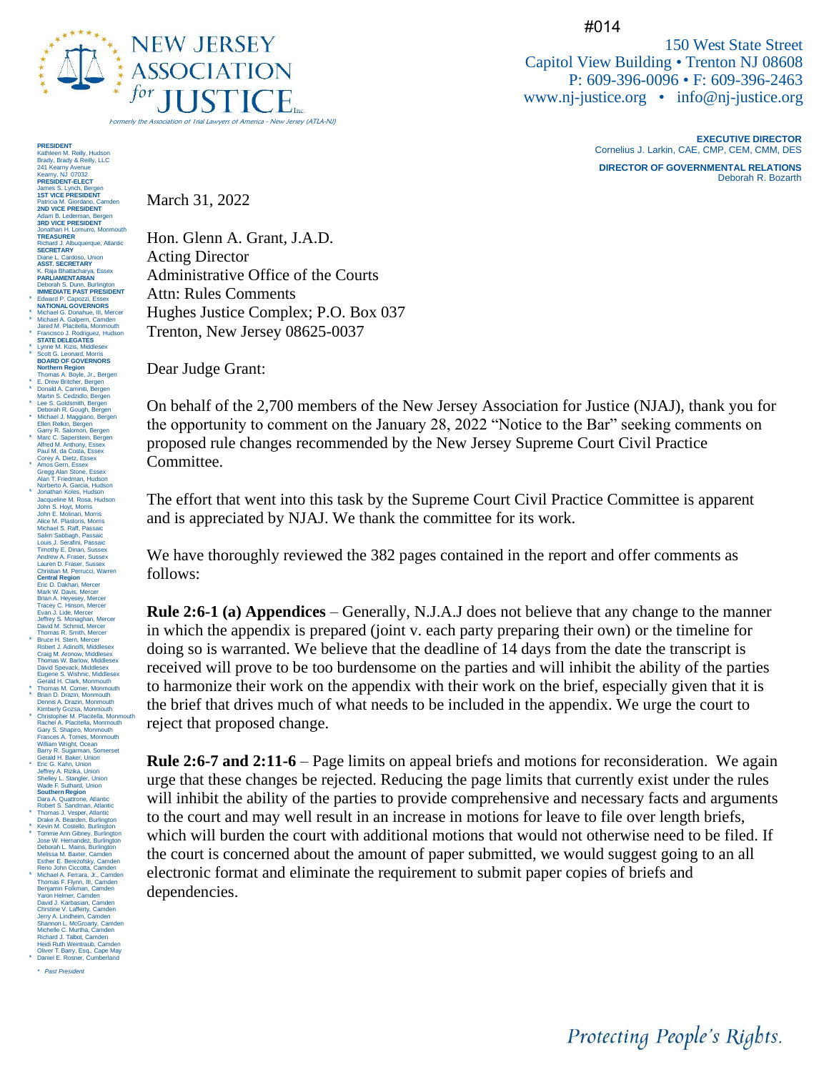

#014

150 West State Street Capitol View Building • Trenton NJ 08608 P: 609-396-0096 • F: 609-396-2463 [www.nj-justice.org](http://www.nj-justice.org/) • [info@nj-justice.org](mailto:info@nj-justice.org)

> **EXECUTIVE DIRECTOR** Cornelius J. Larkin, CAE, CMP, CEM, CMM, DES **DIRECTOR OF GOVERNMENTAL RELATIONS** Deborah R. Bozarth

Protecting People's Rights.

March 31, 2022

Hon. Glenn A. Grant, J.A.D. Acting Director Administrative Office of the Courts Attn: Rules Comments Hughes Justice Complex; P.O. Box 037 Trenton, New Jersey 08625-0037

Dear Judge Grant:

On behalf of the 2,700 members of the New Jersey Association for Justice (NJAJ), thank you for the opportunity to comment on the January 28, 2022 "Notice to the Bar" seeking comments on proposed rule changes recommended by the New Jersey Supreme Court Civil Practice Committee.

The effort that went into this task by the Supreme Court Civil Practice Committee is apparent and is appreciated by NJAJ. We thank the committee for its work.

We have thoroughly reviewed the 382 pages contained in the report and offer comments as follows:

**Rule 2:6-1 (a) Appendices** – Generally, N.J.A.J does not believe that any change to the manner in which the appendix is prepared (joint v. each party preparing their own) or the timeline for doing so is warranted. We believe that the deadline of 14 days from the date the transcript is received will prove to be too burdensome on the parties and will inhibit the ability of the parties to harmonize their work on the appendix with their work on the brief, especially given that it is the brief that drives much of what needs to be included in the appendix. We urge the court to reject that proposed change.

**Rule 2:6-7 and 2:11-6** – Page limits on appeal briefs and motions for reconsideration. We again urge that these changes be rejected. Reducing the page limits that currently exist under the rules will inhibit the ability of the parties to provide comprehensive and necessary facts and arguments to the court and may well result in an increase in motions for leave to file over length briefs, which will burden the court with additional motions that would not otherwise need to be filed. If the court is concerned about the amount of paper submitted, we would suggest going to an all electronic format and eliminate the requirement to submit paper copies of briefs and dependencies.

Adam B. Lederman, Bergen **3RD VICE PRESIDENT** Jonathan H. Lomurro, Monmouth **TREASURER** Richard J. Albuquerque, Atlantic **SECRETARY** Diane L. Cardoso, Union **ASST. SECRETARY** K. Raja Bhattacharya, Essex **PARLIAMENTARIAN** Deborah S. Dunn, Burlington **IMMEDIATE PAST PRESIDENT** \* Edward P. Capozzi, Essex **NATIONALGOVERNORS** \* Michael G. Donahue, III, Mercer \* Michael A. Galpern, Camden Jared M. Placitella, Monmouth \* Francisco J. Rodriguez, Hudson **STATE DELEGATES** \* Lynne M. Kizis, Middlesex \* Scott G. Leonard, Morris **BOARD OF GOVERNORS** Northern Region<br>Thomas A. Boyle, Jr., Bergen<br>C. Drew Britcher, Bergen<br>Martin S. Geräub, Bergen<br>Lee S. Goldsmith, Bergen<br>Lee S. Goldsmith, Bergen<br>Deborah R. Gough, Bergen<br>Michael J. Maggiano, Bergen<br>Ellen Rekin, Bergen<br>Mart \* Amos Gern, Essex<br>
Alam Stone, Essex<br>
Alam T. Friedman, Hudson<br>
Jonbrito A. Garcia, Hudson<br>
Jonbrito A. Garcia, Hudson<br>
Jonbrito A. Garcia, Hudson<br>
John E. Molinari, Morris<br>
Alice M. Plastonis, Morris<br>
Alice M. Plastonis, Tracey C. Hinson, Mercer Evan J. Lide, Mercer Jeffrey S. Monaghan, Mercer David M. Schmid, Mercer Thomas R. Smith, Mercer \* Brobert J. Adinolfi, Middlesex<br>
Robert J. Adinolfi, Middlesex<br>
Thomas W. Barlow, Middlesex<br>
David Spevack, Middlesex<br>
Eugene S. Wishnic, Middlesex<br>
Gerald H. Clark, Monmouth<br>
\* Thomas M. Comer, Monmouth \* Brian D. Drazin, Monmouth Dennis A. Drazin, Monmouth Kimberly Gozsa, Monmouth \* Christopher M. Placitella, Mormouth<br>Cary S. Shapiro, Mormouth<br>Gary S. Shapiro, Mormouth<br>Frances A. Tomes, Mormouth<br>William Wright, Ocean<br>Milliam Wright, Ocean<br>Eric G. Kahn, Union<br>Jeffrey A. Rizka, Union<br>Shelley L. Stangl Thomas J. Vesper, Atlantic<br>Drake A. Bearden, Burlington Prake A. Bearden, Burlington<br>
• Kowin M. Costello, Burlington<br>
• Jose W. Hemandez, Burlington<br>
• Jose W. Hemandez, Burlington<br>
Deborah L. Mains, Burlington<br>
Deborah L. Mains, Burlington<br>
Esther E. Benezofsky, Camden<br>
Fathe

PRESIDENT<br>Kathleen M. Reilly, Hudson<br>Brady, Brady & Reilly, LLC<br>241 Kearny Avenue<br>Kearny, NJ 07032<br>PRESIDENT-ELECT<br>James S. Lynch, Bergen<br>15T VICE PRESIDENT<br>Patricia M. Giordano, Camden<br>Patricia M. Giordano, Camden<br>Patrici

*\* Past President*

Niver T. Barry, Esq., Cape May<br>\* Daniel E. Rosner, Cumberland